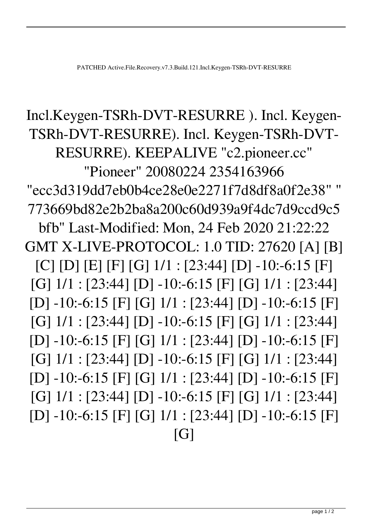## Incl.Keygen-TSRh-DVT-RESURRE ). Incl. Keygen-TSRh-DVT-RESURRE). Incl. Keygen-TSRh-DVT-RESURRE). KEEPALIVE "c2.pioneer.cc" "Pioneer" 20080224 2354163966 "ecc3d319dd7eb0b4ce28e0e2271f7d8df8a0f2e38" " 773669bd82e2b2ba8a200c60d939a9f4dc7d9ccd9c5 bfb" Last-Modified: Mon, 24 Feb 2020 21:22:22 GMT X-LIVE-PROTOCOL: 1.0 TID: 27620 [A] [B] [C] [D] [E] [F] [G] 1/1 : [23:44] [D] -10:-6:15 [F] [G] 1/1 : [23:44] [D] -10:-6:15 [F] [G] 1/1 : [23:44] [D] -10:-6:15 [F] [G] 1/1 : [23:44] [D] -10:-6:15 [F] [G] 1/1 : [23:44] [D] -10:-6:15 [F] [G] 1/1 : [23:44] [D] -10:-6:15 [F] [G] 1/1 : [23:44] [D] -10:-6:15 [F] [G] 1/1 : [23:44] [D] -10:-6:15 [F] [G] 1/1 : [23:44] [D] -10:-6:15 [F] [G] 1/1 : [23:44] [D] -10:-6:15 [F] [G] 1/1 : [23:44] [D] -10:-6:15 [F] [G] 1/1 : [23:44] [D] -10:-6:15 [F] [G] 1/1 : [23:44] [D] -10:-6:15 [F]  $[G]$